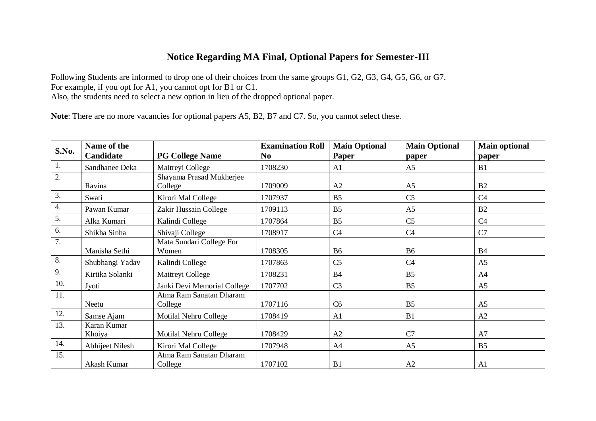## **Notice Regarding MA Final, Optional Papers for Semester-III**

Following Students are informed to drop one of their choices from the same groups G1, G2, G3, G4, G5, G6, or G7. For example, if you opt for A1, you cannot opt for B1 or C1. Also, the students need to select a new option in lieu of the dropped optional paper.

**Note**: There are no more vacancies for optional papers A5, B2, B7 and C7. So, you cannot select these.

| S.No.            | Name of the     |                             | <b>Examination Roll</b> | <b>Main Optional</b> | <b>Main Optional</b> | <b>Main optional</b> |
|------------------|-----------------|-----------------------------|-------------------------|----------------------|----------------------|----------------------|
|                  | Candidate       | <b>PG College Name</b>      | N <sub>0</sub>          | Paper                | paper                | paper                |
| 1.               | Sandhanee Deka  | Maitreyi College            | 1708230                 | A <sub>1</sub>       | A <sub>5</sub>       | B1                   |
| $\overline{2}$ . |                 | Shayama Prasad Mukherjee    |                         |                      |                      |                      |
|                  | Ravina          | College                     | 1709009                 | A2                   | A <sub>5</sub>       | B2                   |
| $\overline{3}$ . | Swati           | Kirori Mal College          | 1707937                 | B <sub>5</sub>       | C <sub>5</sub>       | C <sub>4</sub>       |
| 4.               | Pawan Kumar     | Zakir Hussain College       | 1709113                 | B <sub>5</sub>       | A <sub>5</sub>       | B2                   |
| 5.               | Alka Kumari     | Kalindi College             | 1707864                 | B <sub>5</sub>       | C <sub>5</sub>       | C <sub>4</sub>       |
| 6.               | Shikha Sinha    | Shivaji College             | 1708917                 | C <sub>4</sub>       | C4                   | C7                   |
| 7.               |                 | Mata Sundari College For    |                         |                      |                      |                      |
|                  | Manisha Sethi   | Women                       | 1708305                 | <b>B6</b>            | <b>B6</b>            | <b>B</b> 4           |
| 8.               | Shubhangi Yadav | Kalindi College             | 1707863                 | C <sub>5</sub>       | C <sub>4</sub>       | A <sub>5</sub>       |
| 9.               | Kirtika Solanki | Maitreyi College            | 1708231                 | <b>B4</b>            | B <sub>5</sub>       | A4                   |
| 10.              | Jyoti           | Janki Devi Memorial College | 1707702                 | C <sub>3</sub>       | B <sub>5</sub>       | A <sub>5</sub>       |
| 11.              |                 | Atma Ram Sanatan Dharam     |                         |                      |                      |                      |
|                  | Neetu           | College                     | 1707116                 | C6                   | B <sub>5</sub>       | A <sub>5</sub>       |
| 12.              | Samse Ajam      | Motilal Nehru College       | 1708419                 | A <sub>1</sub>       | B1                   | A2                   |
| 13.              | Karan Kumar     |                             |                         |                      |                      |                      |
|                  | Khoiya          | Motilal Nehru College       | 1708429                 | A2                   | C7                   | A7                   |
| 14.              | Abhijeet Nilesh | Kirori Mal College          | 1707948                 | A4                   | A <sub>5</sub>       | B <sub>5</sub>       |
| 15.              |                 | Atma Ram Sanatan Dharam     |                         |                      |                      |                      |
|                  | Akash Kumar     | College                     | 1707102                 | B1                   | A2                   | A <sub>1</sub>       |